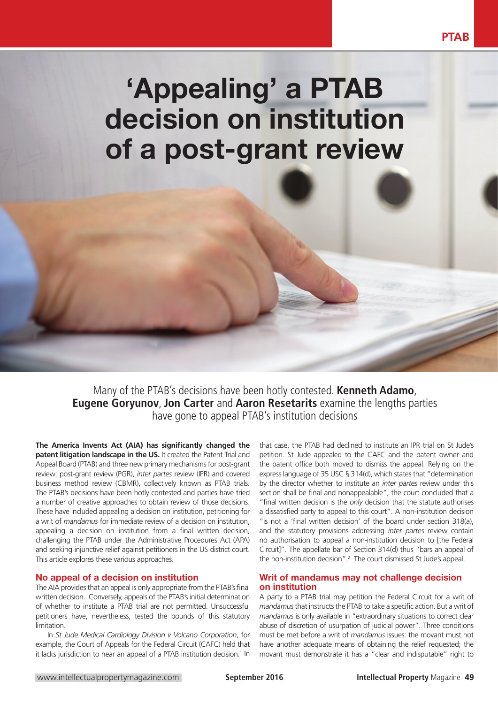# 'Appealing' a PTAB decision on institution of a post-grant review

Many of the PTAB's decisions have been hotly contested. **Kenneth Adamo**, **Eugene Goryunov**, **Jon Carter** and **Aaron Resetarits** examine the lengths parties have gone to appeal PTAB's institution decisions

**The America Invents Act (AIA) has significantly changed the patent litigation landscape in the US.** It created the Patent Trial and Appeal Board (PTAB) and three new primary mechanisms for post-grant review: post-grant review (PGR), *inter partes* review (IPR) and covered business method review (CBMR), collectively known as PTAB trials. The PTAB's decisions have been hotly contested and parties have tried a number of creative approaches to obtain review of those decisions. These have included appealing a decision on institution, petitioning for a writ of *mandamus* for immediate review of a decision on institution, appealing a decision on institution from a final written decision, challenging the PTAB under the Administrative Procedures Act (APA) and seeking injunctive relief against petitioners in the US district court. This article explores these various approaches.

#### No appeal of a decision on institution

The AIA provides that an appeal is only appropriate from the PTAB's final written decision. Conversely, appeals of the PTAB's initial determination of whether to institute a PTAB trial are not permitted. Unsuccessful petitioners have, nevertheless, tested the bounds of this statutory limitation.

In *St Jude Medical Cardiology Division v Volcano Corporation*, for example, the Court of Appeals for the Federal Circuit (CAFC) held that it lacks jurisdiction to hear an appeal of a PTAB institution decision.<sup>1</sup> In that case, the PTAB had declined to institute an IPR trial on St Jude's petition. St Jude appealed to the CAFC and the patent owner and the patent office both moved to dismiss the appeal. Relying on the express language of 35 USC § 314(d), which states that "determination by the director whether to institute an *inter partes* review under this section shall be final and nonappealable", the court concluded that a "final written decision is the *only* decision that the statute authorises a dissatisfied party to appeal to this court". A non-institution decision "is not a 'final written decision' of the board under section 318(a), and the statutory provisions addressing *inter partes* review contain no authorisation to appeal a non-institution decision to [the Federal Circuit]". The appellate bar of Section 314(d) thus "bars an appeal of the non-institution decision".2 The court dismissed St Jude's appeal.

### Writ of mandamus may not challenge decision on institution

A party to a PTAB trial may petition the Federal Circuit for a writ of *mandamus* that instructs the PTAB to take a specific action. But a writ of *mandamus* is only available in "extraordinary situations to correct clear abuse of discretion of usurpation of judicial power". Three conditions must be met before a writ of *mandamus* issues: the movant must not have another adequate means of obtaining the relief requested; the movant must demonstrate it has a "clear and indisputable" right to

**PTAB**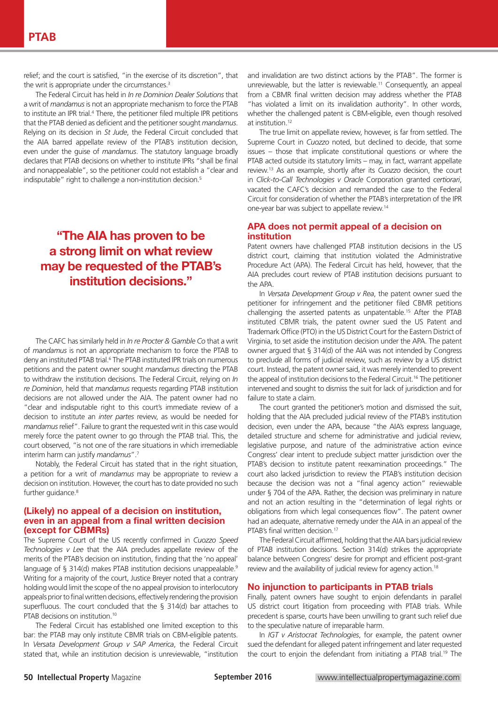relief; and the court is satisfied, "in the exercise of its discretion", that the writ is appropriate under the circumstances.<sup>3</sup>

The Federal Circuit has held in *In re Dominion Dealer Solutions* that a writ of *mandamus* is not an appropriate mechanism to force the PTAB to institute an IPR trial.<sup>4</sup> There, the petitioner filed multiple IPR petitions that the PTAB denied as deficient and the petitioner sought *mandamus*. Relying on its decision in *St Jude*, the Federal Circuit concluded that the AIA barred appellate review of the PTAB's institution decision, even under the guise of *mandamus*. The statutory language broadly declares that PTAB decisions on whether to institute IPRs "shall be final and nonappealable", so the petitioner could not establish a "clear and indisputable" right to challenge a non-institution decision.<sup>5</sup>

# "The AIA has proven to be a strong limit on what review may be requested of the PTAB's institution decisions."

The CAFC has similarly held in *In re Procter & Gamble Co* that a writ of *mandamus* is not an appropriate mechanism to force the PTAB to deny an instituted PTAB trial.<sup>6</sup> The PTAB instituted IPR trials on numerous petitions and the patent owner sought *mandamus* directing the PTAB to withdraw the institution decisions. The Federal Circuit, relying on *In re Dominion*, held that *mandamus* requests regarding PTAB institution decisions are not allowed under the AIA. The patent owner had no "clear and indisputable right to this court's immediate review of a decision to institute an *inter partes* review, as would be needed for *mandamus* relief". Failure to grant the requested writ in this case would merely force the patent owner to go through the PTAB trial. This, the court observed, "is not one of the rare situations in which irremediable interim harm can justify *mandamus*".7

Notably, the Federal Circuit has stated that in the right situation, a petition for a writ of *mandamus* may be appropriate to review a decision on institution. However, the court has to date provided no such further guidance.<sup>8</sup>

#### (Likely) no appeal of a decision on institution, even in an appeal from a final written decision (except for CBMRs)

The Supreme Court of the US recently confirmed in *Cuozzo Speed Technologies v Lee* that the AIA precludes appellate review of the merits of the PTAB's decision on institution, finding that the 'no appeal' language of § 314(d) makes PTAB institution decisions unappealable.<sup>9</sup> Writing for a majority of the court, Justice Breyer noted that a contrary holding would limit the scope of the no appeal provision to interlocutory appeals prior to final written decisions, effectively rendering the provision superfluous. The court concluded that the § 314(d) bar attaches to PTAB decisions on institution.10

The Federal Circuit has established one limited exception to this bar: the PTAB may only institute CBMR trials on CBM-eligible patents. In *Versata Development Group v SAP America*, the Federal Circuit stated that, while an institution decision is unreviewable, "institution

and invalidation are two distinct actions by the PTAB". The former is unreviewable, but the latter is reviewable.<sup>11</sup> Consequently, an appeal from a CBMR final written decision may address whether the PTAB "has violated a limit on its invalidation authority". In other words, whether the challenged patent is CBM-eligible, even though resolved at institution<sup>12</sup>

The true limit on appellate review, however, is far from settled. The Supreme Court in *Cuozzo* noted, but declined to decide, that some issues – those that implicate constitutional questions or where the PTAB acted outside its statutory limits – may, in fact, warrant appellate review.13 As an example, shortly after its *Cuozzo* decision, the court in *Click-to-Call Technologies v Oracle* Corporation granted *certiorari*, vacated the CAFC's decision and remanded the case to the Federal Circuit for consideration of whether the PTAB's interpretation of the IPR one-year bar was subject to appellate review.14

### APA does not permit appeal of a decision on institution

Patent owners have challenged PTAB institution decisions in the US district court, claiming that institution violated the Administrative Procedure Act (APA). The Federal Circuit has held, however, that the AIA precludes court review of PTAB institution decisions pursuant to the APA.

In *Versata Development Group v Rea*, the patent owner sued the petitioner for infringement and the petitioner filed CBMR petitions challenging the asserted patents as unpatentable.15 After the PTAB instituted CBMR trials, the patent owner sued the US Patent and Trademark Office (PTO) in the US District Court for the Eastern District of Virginia, to set aside the institution decision under the APA. The patent owner argued that § 314(d) of the AIA was not intended by Congress to preclude all forms of judicial review, such as review by a US district court. Instead, the patent owner said, it was merely intended to prevent the appeal of institution decisions to the Federal Circuit.<sup>16</sup> The petitioner intervened and sought to dismiss the suit for lack of jurisdiction and for failure to state a claim.

The court granted the petitioner's motion and dismissed the suit, holding that the AIA precluded judicial review of the PTAB's institution decision, even under the APA, because "the AIA's express language, detailed structure and scheme for administrative and judicial review, legislative purpose, and nature of the administrative action evince Congress' clear intent to preclude subject matter jurisdiction over the PTAB's decision to institute patent reexamination proceedings." The court also lacked jurisdiction to review the PTAB's institution decision because the decision was not a "final agency action" reviewable under § 704 of the APA. Rather, the decision was preliminary in nature and not an action resulting in the "determination of legal rights or obligations from which legal consequences flow". The patent owner had an adequate, alternative remedy under the AIA in an appeal of the PTAB's final written decision.<sup>17</sup>

The Federal Circuit affirmed, holding that the AIA bars judicial review of PTAB institution decisions. Section 314(d) strikes the appropriate balance between Congress' desire for prompt and efficient post-grant review and the availability of judicial review for agency action.<sup>18</sup>

### No injunction to participants in PTAB trials

Finally, patent owners have sought to enjoin defendants in parallel US district court litigation from proceeding with PTAB trials. While precedent is sparse, courts have been unwilling to grant such relief due to the speculative nature of irreparable harm.

In *IGT v Aristocrat Technologies*, for example, the patent owner sued the defendant for alleged patent infringement and later requested the court to enjoin the defendant from initiating a PTAB trial.<sup>19</sup> The